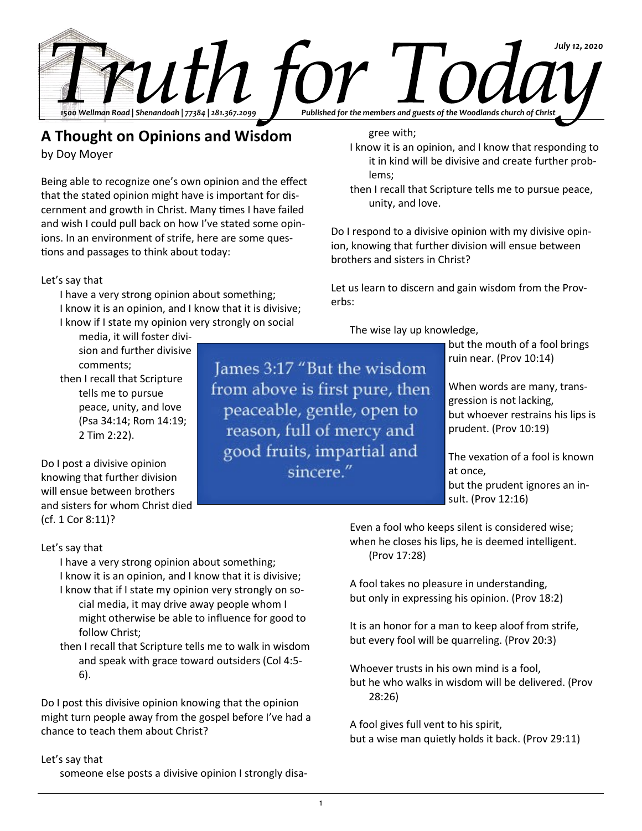

James 3:17 "But the wisdom

from above is first pure, then

peaceable, gentle, open to reason, full of mercy and good fruits, impartial and sincere."

## **A Thought on Opinions and Wisdom**

by Doy Moyer

Being able to recognize one's own opinion and the effect that the stated opinion might have is important for discernment and growth in Christ. Many times I have failed and wish I could pull back on how I've stated some opinions. In an environment of strife, here are some questions and passages to think about today:

### Let's say that

I have a very strong opinion about something; I know it is an opinion, and I know that it is divisive; I know if I state my opinion very strongly on social

media, it will foster division and further divisive comments; then I recall that Scripture tells me to pursue peace, unity, and love (Psa 34:14; Rom 14:19; 2 Tim 2:22).

Do I post a divisive opinion knowing that further division will ensue between brothers and sisters for whom Christ died (cf. 1 Cor 8:11)?

### Let's say that

I have a very strong opinion about something; I know it is an opinion, and I know that it is divisive; I know that if I state my opinion very strongly on so-

cial media, it may drive away people whom I might otherwise be able to influence for good to follow Christ;

then I recall that Scripture tells me to walk in wisdom and speak with grace toward outsiders (Col 4:5- 6).

Do I post this divisive opinion knowing that the opinion might turn people away from the gospel before I've had a chance to teach them about Christ?

### Let's say that

someone else posts a divisive opinion I strongly disa-

gree with;

- I know it is an opinion, and I know that responding to it in kind will be divisive and create further problems;
- then I recall that Scripture tells me to pursue peace, unity, and love.

Do I respond to a divisive opinion with my divisive opinion, knowing that further division will ensue between brothers and sisters in Christ?

Let us learn to discern and gain wisdom from the Proverbs:

The wise lay up knowledge,

but the mouth of a fool brings ruin near. (Prov 10:14)

When words are many, transgression is not lacking, but whoever restrains his lips is prudent. (Prov 10:19)

The vexation of a fool is known at once, but the prudent ignores an insult. (Prov 12:16)

Even a fool who keeps silent is considered wise; when he closes his lips, he is deemed intelligent. (Prov 17:28)

A fool takes no pleasure in understanding, but only in expressing his opinion. (Prov 18:2)

It is an honor for a man to keep aloof from strife, but every fool will be quarreling. (Prov 20:3)

Whoever trusts in his own mind is a fool, but he who walks in wisdom will be delivered. (Prov 28:26)

A fool gives full vent to his spirit, but a wise man quietly holds it back. (Prov 29:11)